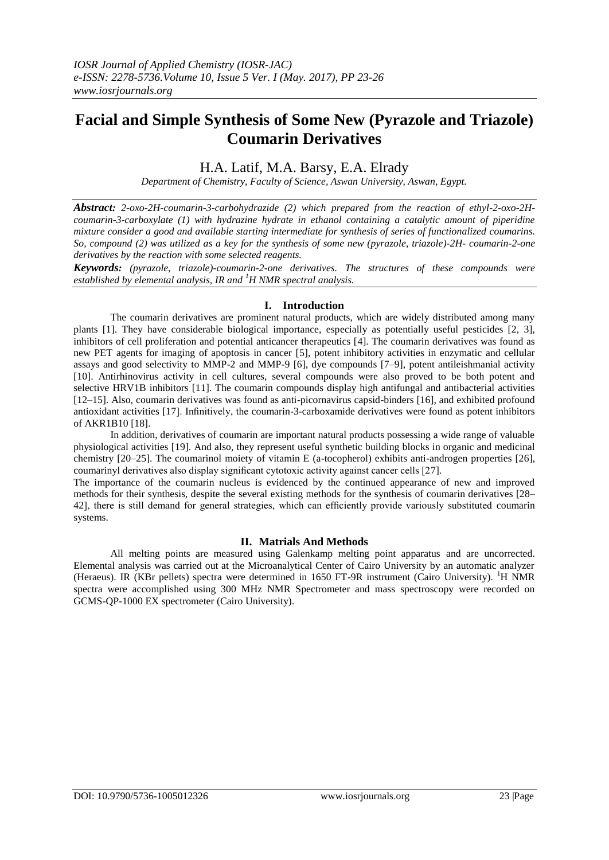# **Facial and Simple Synthesis of Some New (Pyrazole and Triazole) Coumarin Derivatives**

# H.A. Latif, M.A. Barsy, E.A. Elrady

*Department of Chemistry, Faculty of Science, Aswan University, Aswan, Egypt.*

*Abstract: 2-oxo-2H-coumarin-3-carbohydrazide (2) which prepared from the reaction of ethyl-2-oxo-2Hcoumarin-3-carboxylate (1) with hydrazine hydrate in ethanol containing a catalytic amount of piperidine mixture consider a good and available starting intermediate for synthesis of series of functionalized coumarins. So, compound (2) was utilized as a key for the synthesis of some new (pyrazole, triazole)-2H- coumarin-2-one derivatives by the reaction with some selected reagents.*

*Keywords: (pyrazole, triazole)-coumarin-2-one derivatives. The structures of these compounds were established by elemental analysis, IR and <sup>1</sup>H NMR spectral analysis.*

## **I. Introduction**

The coumarin derivatives are prominent natural products, which are widely distributed among many plants [1]. They have considerable biological importance, especially as potentially useful pesticides [2, 3], inhibitors of cell proliferation and potential anticancer therapeutics [4]. The coumarin derivatives was found as new PET agents for imaging of apoptosis in cancer [5], potent inhibitory activities in enzymatic and cellular assays and good selectivity to MMP-2 and MMP-9 [6], dye compounds [7–9], potent antileishmanial activity [10]. Antirhinovirus activity in cell cultures, several compounds were also proved to be both potent and selective HRV1B inhibitors [11]. The coumarin compounds display high antifungal and antibacterial activities [12–15]. Also, coumarin derivatives was found as anti-picornavirus capsid-binders [16], and exhibited profound antioxidant activities [17]. Infinitively, the coumarin-3-carboxamide derivatives were found as potent inhibitors of AKR1B10 [18].

In addition, derivatives of coumarin are important natural products possessing a wide range of valuable physiological activities [19]. And also, they represent useful synthetic building blocks in organic and medicinal chemistry [20–25]. The coumarinol moiety of vitamin E (a-tocopherol) exhibits anti-androgen properties [26], coumarinyl derivatives also display significant cytotoxic activity against cancer cells [27].

The importance of the coumarin nucleus is evidenced by the continued appearance of new and improved methods for their synthesis, despite the several existing methods for the synthesis of coumarin derivatives [28– 42], there is still demand for general strategies, which can efficiently provide variously substituted coumarin systems.

### **II. Matrials And Methods**

All melting points are measured using Galenkamp melting point apparatus and are uncorrected. Elemental analysis was carried out at the Microanalytical Center of Cairo University by an automatic analyzer (Heraeus). IR (KBr pellets) spectra were determined in 1650 FT-9R instrument (Cairo University). <sup>1</sup>H NMR spectra were accomplished using 300 MHz NMR Spectrometer and mass spectroscopy were recorded on GCMS-QP-1000 EX spectrometer (Cairo University).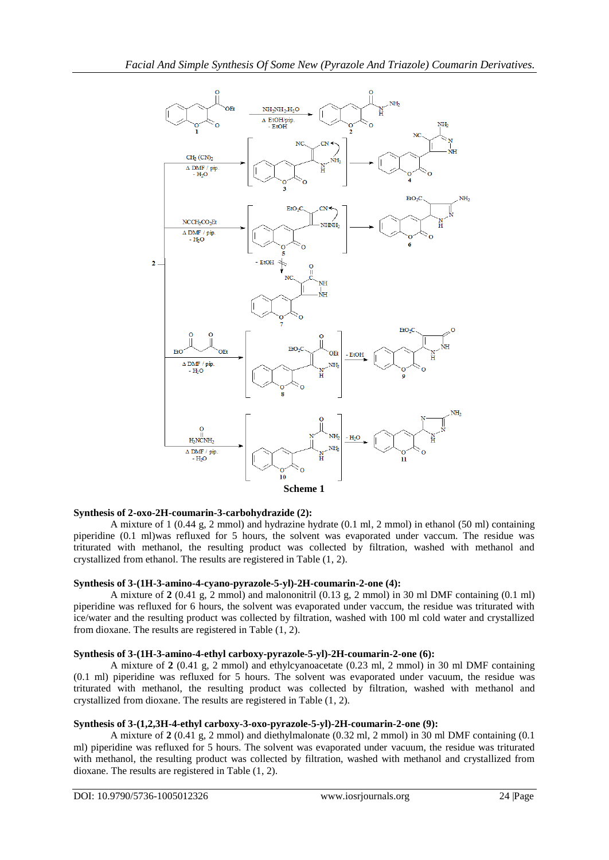

#### **Synthesis of 2-oxo-2H-coumarin-3-carbohydrazide (2):**

A mixture of 1 (0.44 g, 2 mmol) and hydrazine hydrate (0.1 ml, 2 mmol) in ethanol (50 ml) containing piperidine (0.1 ml)was refluxed for 5 hours, the solvent was evaporated under vaccum. The residue was triturated with methanol, the resulting product was collected by filtration, washed with methanol and crystallized from ethanol. The results are registered in Table (1, 2).

#### **Synthesis of 3-(1H-3-amino-4-cyano-pyrazole-5-yl)-2H-coumarin-2-one (4):**

A mixture of **2** (0.41 g, 2 mmol) and malononitril (0.13 g, 2 mmol) in 30 ml DMF containing (0.1 ml) piperidine was refluxed for 6 hours, the solvent was evaporated under vaccum, the residue was triturated with ice/water and the resulting product was collected by filtration, washed with 100 ml cold water and crystallized from dioxane. The results are registered in Table (1, 2).

#### **Synthesis of 3-(1H-3-amino-4-ethyl carboxy-pyrazole-5-yl)-2H-coumarin-2-one (6):**

A mixture of **2** (0.41 g, 2 mmol) and ethylcyanoacetate (0.23 ml, 2 mmol) in 30 ml DMF containing (0.1 ml) piperidine was refluxed for 5 hours. The solvent was evaporated under vacuum, the residue was triturated with methanol, the resulting product was collected by filtration, washed with methanol and crystallized from dioxane. The results are registered in Table (1, 2).

#### **Synthesis of 3-(1,2,3H-4-ethyl carboxy-3-oxo-pyrazole-5-yl)-2H-coumarin-2-one (9):**

A mixture of **2** (0.41 g, 2 mmol) and diethylmalonate (0.32 ml, 2 mmol) in 30 ml DMF containing (0.1 ml) piperidine was refluxed for 5 hours. The solvent was evaporated under vacuum, the residue was triturated with methanol, the resulting product was collected by filtration, washed with methanol and crystallized from dioxane. The results are registered in Table (1, 2).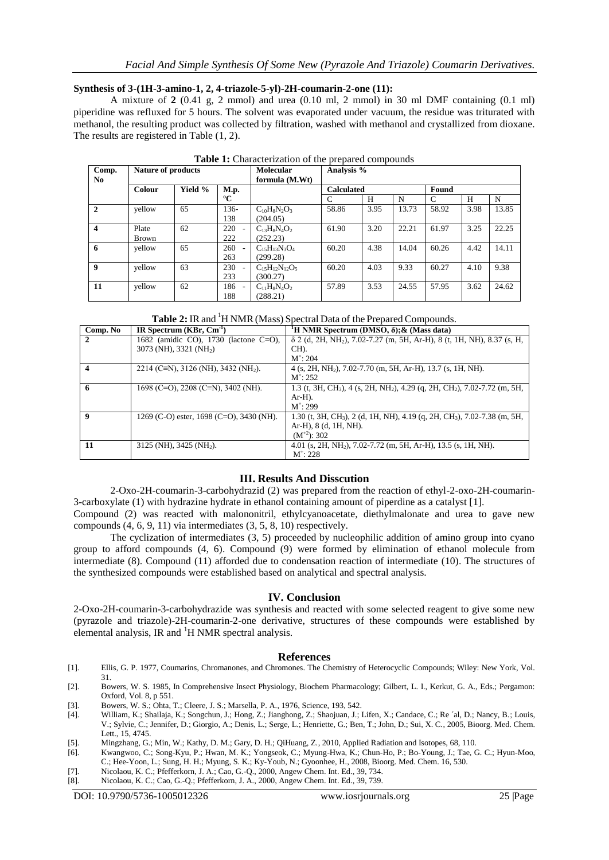#### **Synthesis of 3-(1H-3-amino-1, 2, 4-triazole-5-yl)-2H-coumarin-2-one (11):**

A mixture of  $2(0.41 \text{ g}, 2 \text{ mmol})$  and urea  $(0.10 \text{ ml}, 2 \text{ mmol})$  in 30 ml DMF containing  $(0.1 \text{ ml})$ piperidine was refluxed for 5 hours. The solvent was evaporated under vacuum, the residue was triturated with methanol, the resulting product was collected by filtration, washed with methanol and crystallized from dioxane. The results are registered in Table (1, 2).

| Comp.<br>No             | <b>Nature of products</b> |         |               | Molecular<br>formula (M.Wt) | Analysis %        |      |       |       |      |       |
|-------------------------|---------------------------|---------|---------------|-----------------------------|-------------------|------|-------|-------|------|-------|
|                         | Colour                    | Yield % | <b>M.p.</b>   |                             | <b>Calculated</b> |      |       | Found |      |       |
|                         |                           |         | $\rm ^{o}C$   |                             | C                 | H    | N     | C     | H    | N     |
| $\overline{2}$          | yellow                    | 65      | 136-          | $C_{10}H_8N_2O_3$           | 58.86             | 3.95 | 13.73 | 58.92 | 3.98 | 13.85 |
|                         |                           |         | 138           | (204.05)                    |                   |      |       |       |      |       |
| $\overline{\mathbf{4}}$ | Plate                     | 62      | 220           | $C_{13}H_8N_4O_2$           | 61.90             | 3.20 | 22.21 | 61.97 | 3.25 | 22.25 |
|                         | <b>Brown</b>              |         | 222           | (252.23)                    |                   |      |       |       |      |       |
| 6                       | yellow                    | 65      | 260           | $C_{15}H_{13}N_3O_4$        | 60.20             | 4.38 | 14.04 | 60.26 | 4.42 | 14.11 |
|                         |                           |         | 263           | (299.28)                    |                   |      |       |       |      |       |
| 9                       | yellow                    | 63      | 230           | $C_{15}H_{12}N_{12}O_5$     | 60.20             | 4.03 | 9.33  | 60.27 | 4.10 | 9.38  |
|                         |                           |         | 233           | (300.27)                    |                   |      |       |       |      |       |
| 11                      | yellow                    | 62      | 186<br>$\sim$ | $C_{11}H_8N_4O_2$           | 57.89             | 3.53 | 24.55 | 57.95 | 3.62 | 24.62 |
|                         |                           |         | 188           | (288.21)                    |                   |      |       |       |      |       |

**Table 2:** IR and <sup>1</sup>H NMR (Mass) Spectral Data of the Prepared Compounds.

| Comp. No | IR Spectrum $(KBr, Cm^{-1})$                    | <sup>1</sup> H NMR Spectrum (DMSO, $\delta$ ); & (Mass data)                                                  |
|----------|-------------------------------------------------|---------------------------------------------------------------------------------------------------------------|
|          | 1682 (amidic CO), 1730 (lactone C=O),           | $\delta$ 2 (d, 2H, NH <sub>2</sub> ), 7.02-7.27 (m, 5H, Ar-H), 8 (t, 1H, NH), 8.37 (s, H,                     |
|          | 3073 (NH), 3321 (NH <sub>2</sub> )              | CH).                                                                                                          |
|          |                                                 | $M^{\dagger}$ : 204                                                                                           |
|          | 2214 (C=N), 3126 (NH), 3432 (NH <sub>2</sub> ). | 4 (s, 2H, NH <sub>2</sub> ), 7.02-7.70 (m, 5H, Ar-H), 13.7 (s, 1H, NH).                                       |
|          |                                                 | $M^{\dagger}$ : 252                                                                                           |
| 6        | 1698 (C=O), 2208 (C=N), 3402 (NH).              | 1.3 (t, 3H, CH <sub>3</sub> ), 4 (s, 2H, NH <sub>2</sub> ), 4.29 (q, 2H, CH <sub>2</sub> ), 7.02-7.72 (m, 5H, |
|          |                                                 | $Ar-H$ ).                                                                                                     |
|          |                                                 | $M^{\dagger}$ : 299                                                                                           |
|          | 1269 (C-O) ester, 1698 (C=O), 3430 (NH).        | 1.30 (t, 3H, CH <sub>3</sub> ), 2 (d, 1H, NH), 4.19 (q, 2H, CH <sub>3</sub> ), 7.02-7.38 (m, 5H,              |
|          |                                                 | Ar-H), 8 (d, 1H, NH).                                                                                         |
|          |                                                 | $(M^{+2})$ : 302                                                                                              |
| 11       | 3125 (NH), $3425$ (NH <sub>2</sub> ).           | 4.01 (s, 2H, NH <sub>2</sub> ), 7.02-7.72 (m, 5H, Ar-H), 13.5 (s, 1H, NH).                                    |
|          |                                                 | $M^{\dagger}$ : 228                                                                                           |

#### **III. Results And Disscution**

2-Oxo-2H-coumarin-3-carbohydrazid (2) was prepared from the reaction of ethyl-2-oxo-2H-coumarin-3-carboxylate (1) with hydrazine hydrate in ethanol containing amount of piperdine as a catalyst [1].

Compound (2) was reacted with malononitril, ethylcyanoacetate, diethylmalonate and urea to gave new compounds (4, 6, 9, 11) via intermediates (3, 5, 8, 10) respectively.

The cyclization of intermediates (3, 5) proceeded by nucleophilic addition of amino group into cyano group to afford compounds (4, 6). Compound (9) were formed by elimination of ethanol molecule from intermediate (8). Compound (11) afforded due to condensation reaction of intermediate (10). The structures of the synthesized compounds were established based on analytical and spectral analysis.

#### **IV. Conclusion**

2-Oxo-2H-coumarin-3-carbohydrazide was synthesis and reacted with some selected reagent to give some new (pyrazole and triazole)-2H-coumarin-2-one derivative, structures of these compounds were established by elemental analysis, IR and  ${}^{1}$ H NMR spectral analysis.

#### **References**

- [1]. Ellis, G. P. 1977, Coumarins, Chromanones, and Chromones. The Chemistry of Heterocyclic Compounds; Wiley: New York, Vol. 31.
- [2]. Bowers, W. S. 1985, In Comprehensive Insect Physiology, Biochem Pharmacology; Gilbert, L. I., Kerkut, G. A., Eds.; Pergamon: Oxford, Vol. 8, p 551.
- [3]. Bowers, W. S.; Ohta, T.; Cleere, J. S.; Marsella, P. A., 1976, Science, 193, 542. [4]. William, K.; Shailaja, K.; Songchun, J.; Hong, Z.; Jianghong, Z.; Shaojuan, J.;
- [4]. William, K.; Shailaja, K.; Songchun, J.; Hong, Z.; Jianghong, Z.; Shaojuan, J.; Lifen, X.; Candace, C.; Re ´al, D.; Nancy, B.; Louis, V.; Sylvie, C.; Jennifer, D.; Giorgio, A.; Denis, L.; Serge, L.; Henriette, G.; Ben, T.; John, D.; Sui, X. C., 2005, Bioorg. Med. Chem. Lett., 15, 4745.
- [5]. Mingzhang, G.; Min, W.; Kathy, D. M.; Gary, D. H.; QiHuang, Z., 2010, Applied Radiation and Isotopes, 68, 110.
- [6]. Kwangwoo, C.; Song-Kyu, P.; Hwan, M. K.; Yongseok, C.; Myung-Hwa, K.; Chun-Ho, P.; Bo-Young, J.; Tae, G. C.; Hyun-Moo, C.; Hee-Yoon, L.; Sung, H. H.; Myung, S. K.; Ky-Youb, N.; Gyoonhee, H., 2008, Bioorg. Med. Chem. 16, 530.
- [7]. Nicolaou, K. C.; Pfefferkorn, J. A.; Cao, G.-Q., 2000, Angew Chem. Int. Ed., 39, 734.
- [8]. Nicolaou, K. C.; Cao, G.-Q.; Pfefferkorn, J. A., 2000, Angew Chem. Int. Ed., 39, 739.